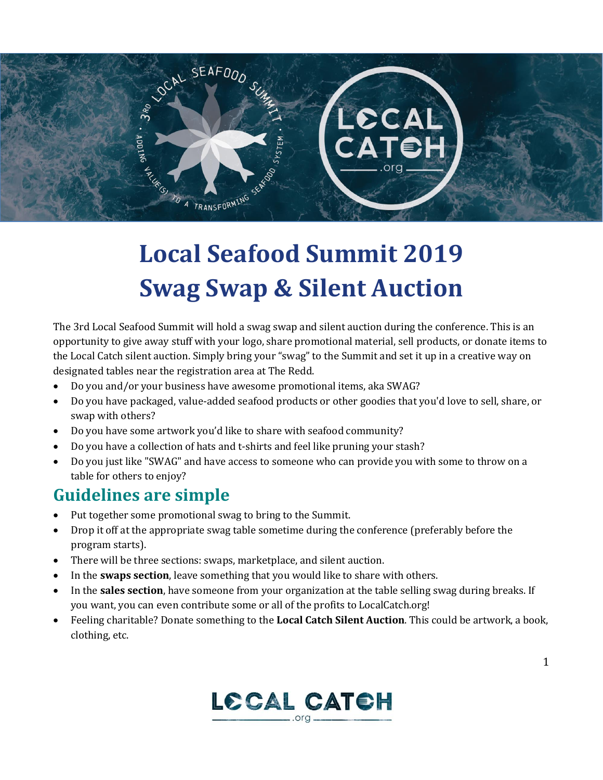

## **Local Seafood Summit 2019 Swag Swap & Silent Auction**

The 3rd Local Seafood Summit will hold a swag swap and silent auction during the conference. This is an opportunity to give away stuff with your logo, share promotional material, sell products, or donate items to the Local Catch silent auction. Simply bring your "swag" to the Summit and set it up in a creative way on designated tables near the registration area at The Redd.

- Do you and/or your business have awesome promotional items, aka SWAG?
- Do you have packaged, value-added seafood products or other goodies that you'd love to sell, share, or swap with others?
- Do you have some artwork you'd like to share with seafood community?
- Do you have a collection of hats and t-shirts and feel like pruning your stash?
- Do you just like "SWAG" and have access to someone who can provide you with some to throw on a table for others to enjoy?

## **Guidelines are simple**

- Put together some promotional swag to bring to the Summit.
- Drop it off at the appropriate swag table sometime during the conference (preferably before the program starts).
- There will be three sections: swaps, marketplace, and silent auction.
- In the **swaps section**, leave something that you would like to share with others.
- In the **sales section**, have someone from your organization at the table selling swag during breaks. If you want, you can even contribute some or all of the profits to LocalCatch.org!
- Feeling charitable? Donate something to the **Local Catch Silent Auction**. This could be artwork, a book, clothing, etc.